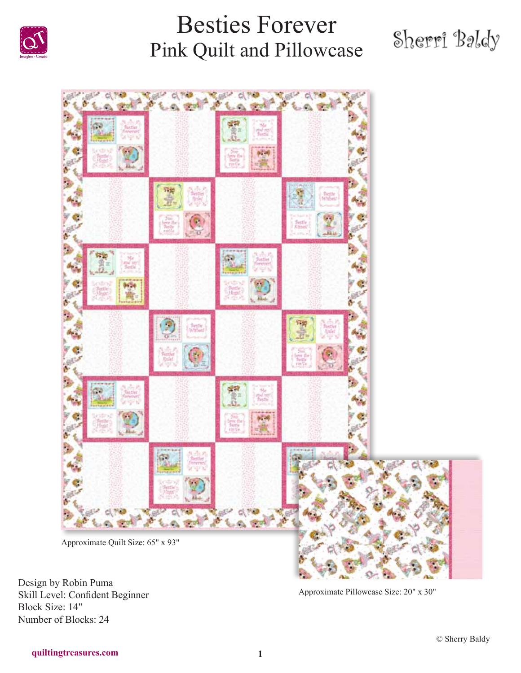

# Sherri Baldy



Design by Robin Puma Skill Level: Confident Beginner Block Size: 14" Number of Blocks: 24

Approximate Pillowcase Size: 20" x 30"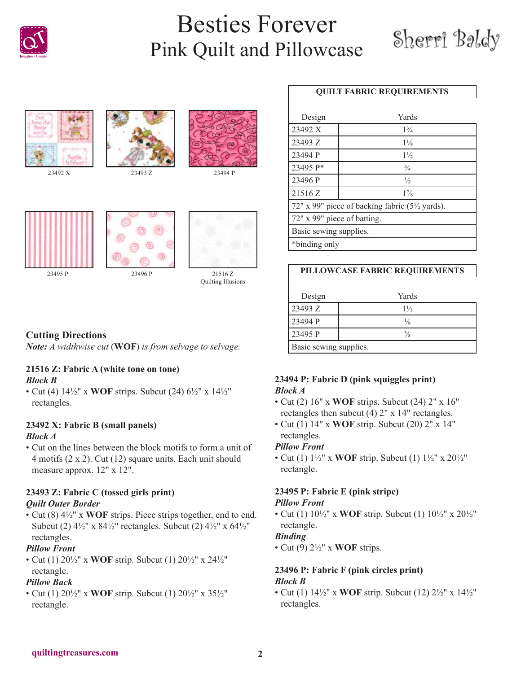









23494 P



### **Cutting Directions**

*Note: A widthwise cut* (**WOF**) *is from selvage to selvage.*

#### **21516 Z: Fabric A (white tone on tone)** *Block B*

• Cut (4) 14½" x **WOF** strips. Subcut (24) 6½" x 14½" rectangles.

### **23492 X: Fabric B (small panels)**

### *Block A*

• Cut on the lines between the block motifs to form a unit of 4 motifs (2 x 2). Cut (12) square units. Each unit should measure approx. 12" x 12".

### **23493 Z: Fabric C (tossed girls print)** *Quilt Outer Border*

• Cut (8) 4½" x **WOF** strips. Piece strips together, end to end. Subcut (2) 4½" x 84½" rectangles. Subcut (2) 4½" x 64½" rectangles.

### *Pillow Front*

• Cut (1) 20½" x **WOF** strip. Subcut (1) 20½" x 24½" rectangle.

### *Pillow Back*

• Cut (1) 20½" x **WOF** strip. Subcut (1) 20½" x 35½" rectangle.

### **QUILT FABRIC REQUIREMENTS**

| Design                                        | Yards          |  |
|-----------------------------------------------|----------------|--|
| 23492 X                                       | $1\frac{3}{4}$ |  |
| 23493 Z                                       | $1\frac{1}{8}$ |  |
| 23494 P                                       | $1\frac{1}{2}$ |  |
| 23495 P*                                      | $\frac{3}{4}$  |  |
| 23496 P                                       | $\frac{1}{2}$  |  |
| 21516 Z                                       | $1\%$          |  |
| 72" x 99" piece of backing fabric (5½ yards). |                |  |
| 72" x 99" piece of batting.                   |                |  |
| Basic sewing supplies.                        |                |  |
| *binding only                                 |                |  |

### **PILLOWCASE FABRIC REQUIREMENTS**

| Design                 | Yards          |  |
|------------------------|----------------|--|
| 23493 Z                | $1\frac{1}{3}$ |  |
| 23494 P                | 1/8            |  |
| 23495 P                | $\frac{3}{8}$  |  |
| Basic sewing supplies. |                |  |

### **23494 P: Fabric D (pink squiggles print)** *Block A*

- Cut (2) 16" x **WOF** strips. Subcut (24) 2" x 16" rectangles then subcut (4) 2" x 14" rectangles.
- Cut (1) 14" x **WOF** strip. Subcut (20) 2" x 14" rectangles.

### *Pillow Front*

• Cut (1) 1½" x **WOF** strip. Subcut (1) 1½" x 20½" rectangle.

# **23495 P: Fabric E (pink stripe)**

### *Pillow Front*

• Cut (1) 10½" x **WOF** strip. Subcut (1) 10½" x 20½" rectangle.

### *Binding*

• Cut (9) 2½" x **WOF** strips.

### **23496 P: Fabric F (pink circles print)** *Block B*

• Cut (1) 14½" x **WOF** strip. Subcut (12) 2½" x 14½" rectangles.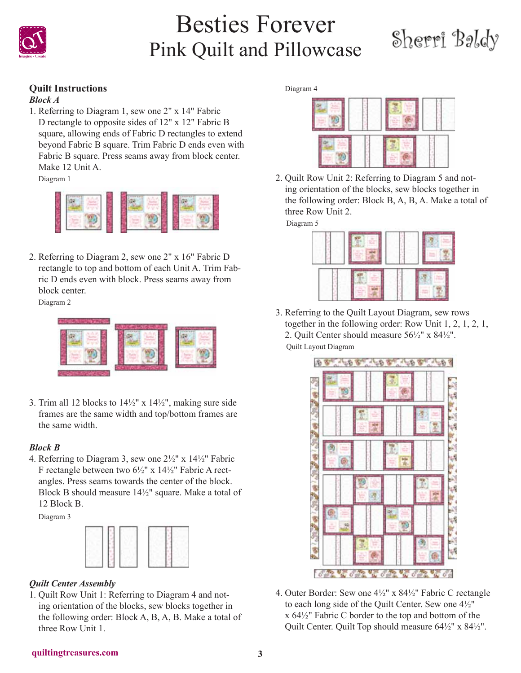

# Sherri Baldy

### **Quilt Instructions**

### *Block A*

1. Referring to Diagram 1, sew one 2" x 14" Fabric D rectangle to opposite sides of 12" x 12" Fabric B square, allowing ends of Fabric D rectangles to extend beyond Fabric B square. Trim Fabric D ends even with Fabric B square. Press seams away from block center. Make 12 Unit A.

Diagram 1



2. Referring to Diagram 2, sew one 2" x 16" Fabric D rectangle to top and bottom of each Unit A. Trim Fabric D ends even with block. Press seams away from block center.

Diagram 2



3. Trim all 12 blocks to  $14\frac{1}{2}$ " x  $14\frac{1}{2}$ ", making sure side frames are the same width and top/bottom frames are the same width.

### *Block B*

4. Referring to Diagram 3, sew one 2½" x 14½" Fabric F rectangle between two 6½" x 14½" Fabric A rectangles. Press seams towards the center of the block. Block B should measure 14½" square. Make a total of 12 Block B.

Diagram 3



### *Quilt Center Assembly*

1. Quilt Row Unit 1: Referring to Diagram 4 and noting orientation of the blocks, sew blocks together in the following order: Block A, B, A, B. Make a total of three Row Unit 1.

#### Diagram 4



2. Quilt Row Unit 2: Referring to Diagram 5 and noting orientation of the blocks, sew blocks together in the following order: Block B, A, B, A. Make a total of three Row Unit 2.

Diagram 5



3. Referring to the Quilt Layout Diagram, sew rows together in the following order: Row Unit 1, 2, 1, 2, 1, 2. Quilt Center should measure 56½" x 84½". Quilt Layout Diagram



4. Outer Border: Sew one 4½" x 84½" Fabric C rectangle to each long side of the Quilt Center. Sew one 4½" x 64½" Fabric C border to the top and bottom of the Quilt Center. Quilt Top should measure 64½" x 84½".

#### **quiltingtreasures.com 3**